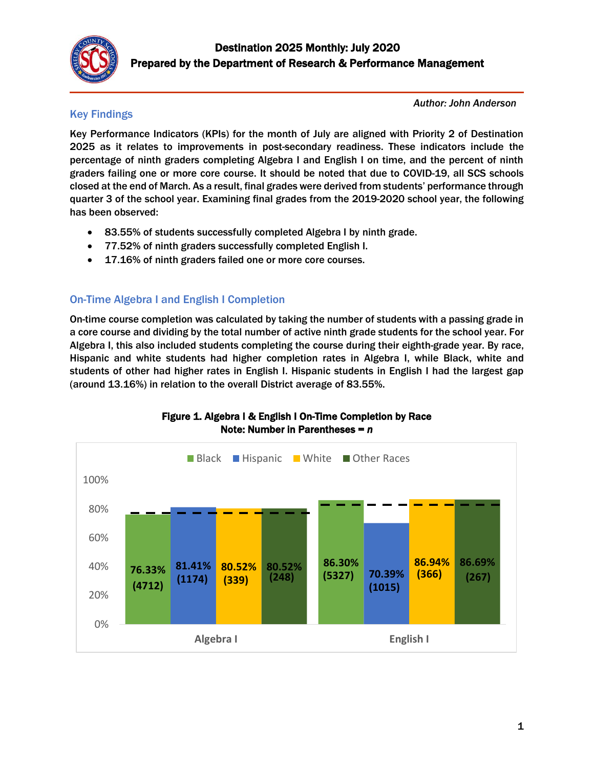

## Key Findings

*Author: John Anderson* 

Key Performance Indicators (KPIs) for the month of July are aligned with Priority 2 of Destination 2025 as it relates to improvements in post-secondary readiness. These indicators include the percentage of ninth graders completing Algebra I and English I on time, and the percent of ninth graders failing one or more core course. It should be noted that due to COVID-19, all SCS schools closed at the end of March. As a result, final grades were derived from students' performance through quarter 3 of the school year. Examining final grades from the 2019-2020 school year, the following has been observed:

- 83.55% of students successfully completed Algebra I by ninth grade.
- 77.52% of ninth graders successfully completed English I.
- 17.16% of ninth graders failed one or more core courses.

# On-Time Algebra I and English I Completion

On-time course completion was calculated by taking the number of students with a passing grade in a core course and dividing by the total number of active ninth grade students for the school year. For Algebra I, this also included students completing the course during their eighth-grade year. By race, Hispanic and white students had higher completion rates in Algebra I, while Black, white and students of other had higher rates in English I. Hispanic students in English I had the largest gap (around 13.16%) in relation to the overall District average of 83.55%.



### Figure 1. Algebra I & English I On-Time Completion by Race Note: Number in Parentheses = *n*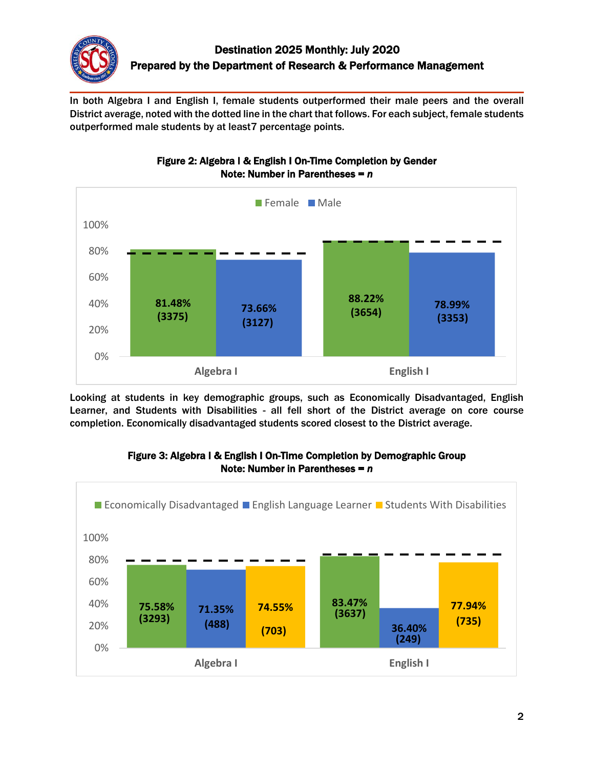

In both Algebra I and English I, female students outperformed their male peers and the overall District average, noted with the dotted line in the chart that follows. For each subject, female students outperformed male students by at least7 percentage points.



### Figure 2: Algebra I & English I On-Time Completion by Gender Note: Number in Parentheses = *n*

Looking at students in key demographic groups, such as Economically Disadvantaged, English Learner, and Students with Disabilities - all fell short of the District average on core course completion. Economically disadvantaged students scored closest to the District average.



### Figure 3: Algebra I & English I On-Time Completion by Demographic Group Note: Number in Parentheses = *n*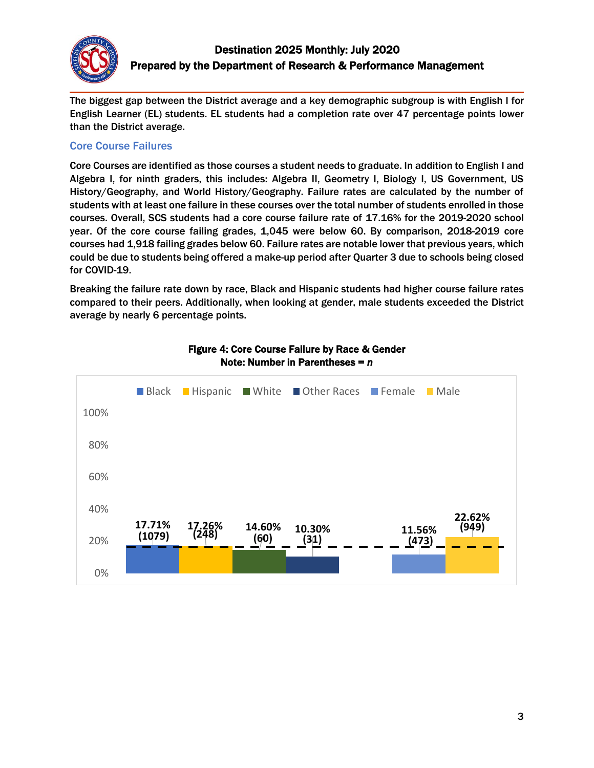

The biggest gap between the District average and a key demographic subgroup is with English I for English Learner (EL) students. EL students had a completion rate over 47 percentage points lower than the District average.

#### Core Course Failures

Core Courses are identified as those courses a student needs to graduate. In addition to English I and Algebra I, for ninth graders, this includes: Algebra II, Geometry I, Biology I, US Government, US History/Geography, and World History/Geography. Failure rates are calculated by the number of students with at least one failure in these courses over the total number of students enrolled in those courses. Overall, SCS students had a core course failure rate of 17.16% for the 2019-2020 school year. Of the core course failing grades, 1,045 were below 60. By comparison, 2018-2019 core courses had 1,918 failing grades below 60. Failure rates are notable lower that previous years, which could be due to students being offered a make-up period after Quarter 3 due to schools being closed for COVID-19.

Breaking the failure rate down by race, Black and Hispanic students had higher course failure rates compared to their peers. Additionally, when looking at gender, male students exceeded the District average by nearly 6 percentage points.



#### Figure 4: Core Course Failure by Race & Gender Note: Number in Parentheses = *n*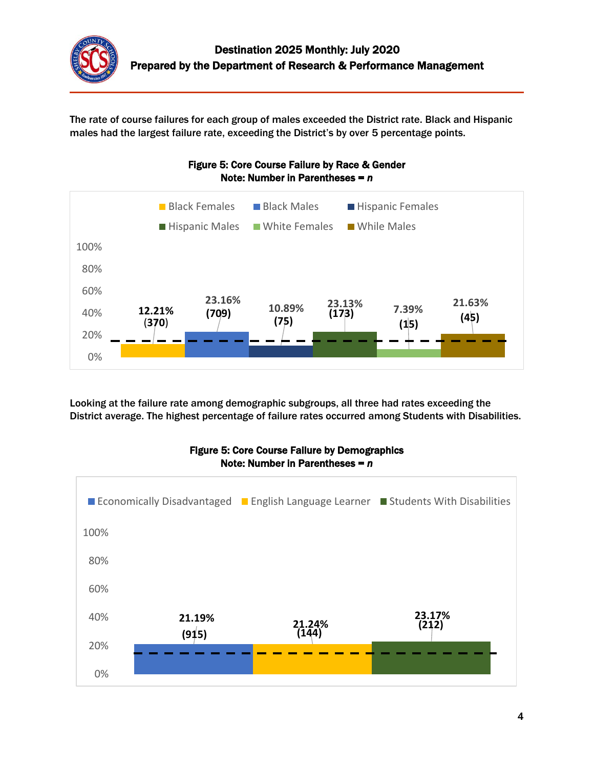

The rate of course failures for each group of males exceeded the District rate. Black and Hispanic males had the largest failure rate, exceeding the District's by over 5 percentage points.



Looking at the failure rate among demographic subgroups, all three had rates exceeding the District average. The highest percentage of failure rates occurred among Students with Disabilities.



#### Figure 5: Core Course Failure by Demographics Note: Number in Parentheses = *n*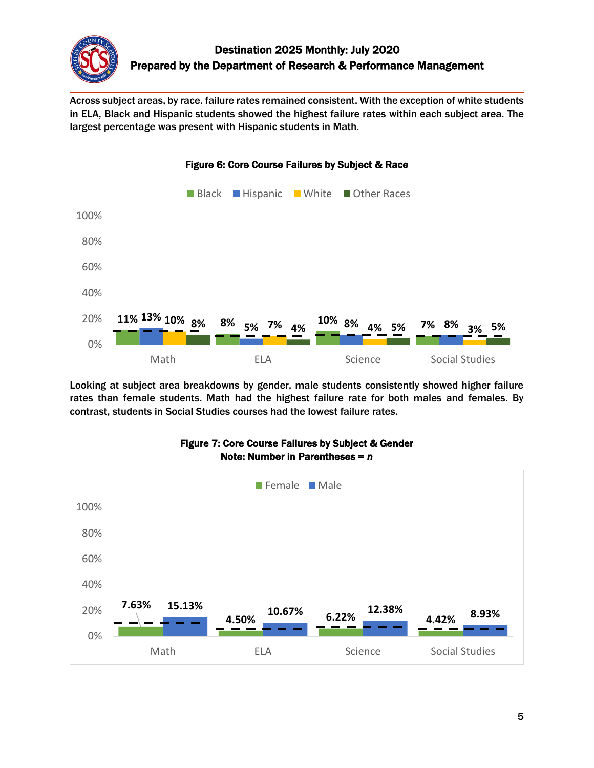

Across subject areas, by race. failure rates remained consistent. With the exception of white students in ELA, Black and Hispanic students showed the highest failure rates within each subject area. The largest percentage was present with Hispanic students in Math.



Figure 6: Core Course Failures by Subject & Race

Looking at subject area breakdowns by gender, male students consistently showed higher failure rates than female students. Math had the highest failure rate for both males and females. By contrast, students in Social Studies courses had the lowest failure rates.



#### Figure 7: Core Course Failures by Subject & Gender Note: Number in Parentheses = *n*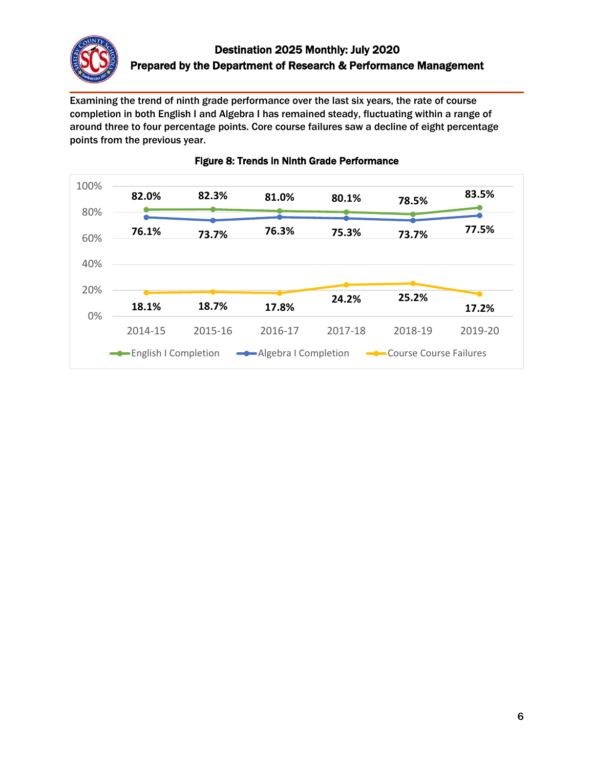

Examining the trend of ninth grade performance over the last six years, the rate of course completion in both English I and Algebra I has remained steady, fluctuating within a range of around three to four percentage points. Core course failures saw a decline of eight percentage points from the previous year.



### Figure 8: Trends in Ninth Grade Performance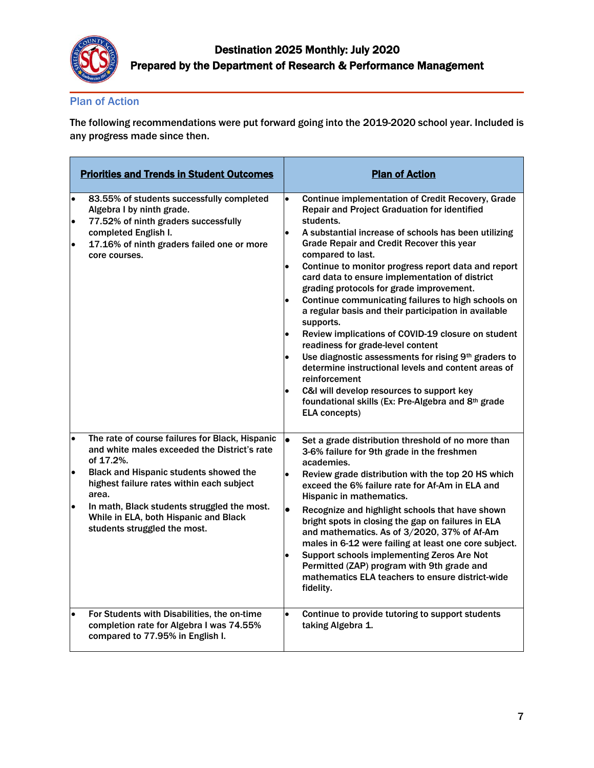

### Plan of Action

The following recommendations were put forward going into the 2019-2020 school year. Included is any progress made since then.

| <b>Priorities and Trends in Student Outcomes</b>                                                                                                                                                                                                                                                                                                                                   | <b>Plan of Action</b>                                                                                                                                                                                                                                                                                                                                                                                                                                                                                                                                                                                                                                                                                                                                                                                                                                                                                                                                         |
|------------------------------------------------------------------------------------------------------------------------------------------------------------------------------------------------------------------------------------------------------------------------------------------------------------------------------------------------------------------------------------|---------------------------------------------------------------------------------------------------------------------------------------------------------------------------------------------------------------------------------------------------------------------------------------------------------------------------------------------------------------------------------------------------------------------------------------------------------------------------------------------------------------------------------------------------------------------------------------------------------------------------------------------------------------------------------------------------------------------------------------------------------------------------------------------------------------------------------------------------------------------------------------------------------------------------------------------------------------|
| 83.55% of students successfully completed<br>$\bullet$<br>Algebra I by ninth grade.<br>77.52% of ninth graders successfully<br>$\bullet$<br>completed English I.<br>17.16% of ninth graders failed one or more<br>$\bullet$<br>core courses.                                                                                                                                       | <b>Continue implementation of Credit Recovery, Grade</b><br>$\bullet$<br><b>Repair and Project Graduation for identified</b><br>students.<br>A substantial increase of schools has been utilizing<br>$\bullet$<br>Grade Repair and Credit Recover this year<br>compared to last.<br>Continue to monitor progress report data and report<br>$\bullet$<br>card data to ensure implementation of district<br>grading protocols for grade improvement.<br>Continue communicating failures to high schools on<br>$\bullet$<br>a regular basis and their participation in available<br>supports.<br>Review implications of COVID-19 closure on student<br>$\bullet$<br>readiness for grade-level content<br>Use diagnostic assessments for rising 9th graders to<br>determine instructional levels and content areas of<br>reinforcement<br>C&I will develop resources to support key<br>foundational skills (Ex: Pre-Algebra and 8th grade<br><b>ELA concepts)</b> |
| The rate of course failures for Black, Hispanic<br>$\bullet$<br>and white males exceeded the District's rate<br>of 17.2%.<br><b>Black and Hispanic students showed the</b><br>$\bullet$<br>highest failure rates within each subject<br>area.<br>In math, Black students struggled the most.<br>$\bullet$<br>While in ELA, both Hispanic and Black<br>students struggled the most. | $\bullet$<br>Set a grade distribution threshold of no more than<br>3-6% failure for 9th grade in the freshmen<br>academies.<br>Review grade distribution with the top 20 HS which<br>exceed the 6% failure rate for Af-Am in ELA and<br>Hispanic in mathematics.<br>$\bullet$<br>Recognize and highlight schools that have shown<br>bright spots in closing the gap on failures in ELA<br>and mathematics. As of 3/2020, 37% of Af-Am<br>males in 6-12 were failing at least one core subject.<br>Support schools implementing Zeros Are Not<br>$\bullet$<br>Permitted (ZAP) program with 9th grade and<br>mathematics ELA teachers to ensure district-wide<br>fidelity.                                                                                                                                                                                                                                                                                      |
| $\bullet$<br>For Students with Disabilities, the on-time<br>completion rate for Algebra I was 74.55%<br>compared to 77.95% in English I.                                                                                                                                                                                                                                           | Continue to provide tutoring to support students<br>$\bullet$<br>taking Algebra 1.                                                                                                                                                                                                                                                                                                                                                                                                                                                                                                                                                                                                                                                                                                                                                                                                                                                                            |